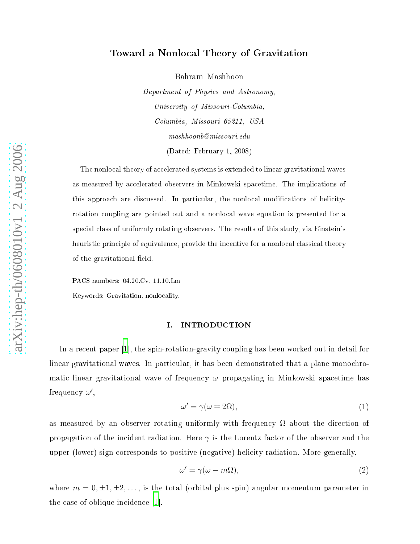# a non-mandal Theory of Gravitation and the contract of Gravitation and the contract of Gravitation and the contract of the contract of the contract of the contract of the contract of the contract of the contract of the con

Bahram Mashhoon

Department of Physi
s and Astronomy, University of Missouri-Columbia, Columbia, Missouri 65211, USA  $mashhoonb@missouri.edu$ 

 $\mathcal{L}$  and  $\mathcal{L}$  and  $\mathcal{L}$  and  $\mathcal{L}$  and  $\mathcal{L}$  and  $\mathcal{L}$  and  $\mathcal{L}$  and  $\mathcal{L}$  and  $\mathcal{L}$  and  $\mathcal{L}$  and  $\mathcal{L}$  and  $\mathcal{L}$  and  $\mathcal{L}$  and  $\mathcal{L}$  and  $\mathcal{L}$  and  $\mathcal{L}$  and  $\mathcal{L}$  and

aves access the nonlogical theory of and the systems is extended to approximately the contract of the set as measured of the implicit space of the implication of the implication of the implication of the implication this approach are distinguished. In particular, the non-local modification of heliothermodifications of heliot rotation oupling are pointed out and a nonlo
al wave equation is presented for a special class of uniformly rotating observers. The results of this study, via Einstein's e form in the internal provide the internal provides the internal contracts in the internal contract  $\mu$ of the gravitational field.

PACS numbers: 04.20.Cv, 11.10.Lm

Keywords: Gravitation, nonlo
alit y .

#### I. INTRODUCTION

<span id="page-0-0"></span>and the spin-rotation-gravitation-gravitation-gravitation-gravitation-gravitation-gravitation-gravitation-gra linear gravitational w a ves. In parti
ular, it has been demonstrated that a plane mono
hromatic linear gravitational wave of frequency  $\omega$  propagating in Minkowski spacetime has frequency  $\omega'$ ,

<span id="page-0-1"></span>
$$
\omega' = \gamma(\omega \mp 2\Omega),\tag{1}
$$

as measured by an observer rotating uniformly with frequency  $\Omega$  about the direction of propagation of the incident radiation. Here  $\gamma$  is the Lorentz factor of the observer and the upper (lo wer) sign orresponds to positiv e (negative) heli
it y radiation. More generally ,

$$
\omega' = \gamma(\omega - m\Omega),\tag{2}
$$

where  $m=0,\pm 1,\pm 2,\ldots,$  is the total (orbital plus spin) angular momentum parameter in the case of oblique incidence  $[1]$ .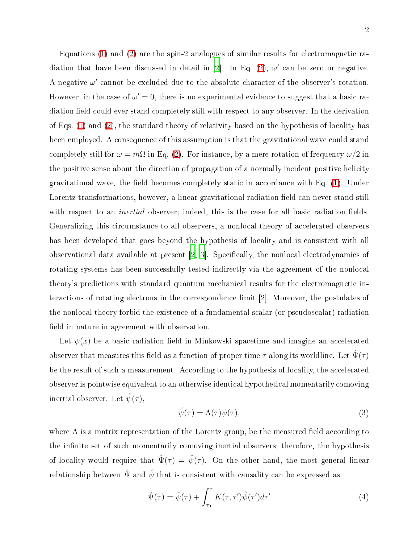Equations [\(1\)](#page-0-0) and [\(2\)](#page-0-1) are the spin-2 analogues of similar results for electromagnetic ra-diation that have been discussed in detail in [\[2](#page-14-1)]. In Eq. [\(2\)](#page-0-1),  $\omega'$  can be zero or negative. A negative  $\omega'$  cannot be excluded due to the absolute character of the observer's rotation. However, in the case of  $\omega' = 0$ , there is no experimental evidence to suggest that a basic radiation field could ever stand completely still with respect to any observer. In the derivation of Eqs.  $(1)$  and  $(2)$ , the standard theory of relativity based on the hypothesis of locality has been employed. A consequence of this assumption is that the gravitational wave could stand completely still for  $\omega = m\Omega$  in Eq. [\(2\)](#page-0-1). For instance, by a mere rotation of frequency  $\omega/2$  in the positive sense about the direction of propagation of a normally incident positive helicity gravitational wave, the field becomes completely static in accordance with Eq.  $(1)$ . Under Lorentz transformations, however, a linear gravitational radiation field can never stand still with respect to an *inertial* observer; indeed, this is the case for all basic radiation fields. Generalizing this circumstance to all observers, a nonlocal theory of accelerated observers has been developed that goes beyond the hypothesis of locality and is consistent with all observational data available at present  $[2, 3]$  $[2, 3]$ . Specifically, the nonlocal electrodynamics of rotating systems has been successfully tested indirectly via the agreement of the nonlocal theory's predictions with standard quantum mechanical results for the electromagnetic interactions of rotating electrons in the correspondence limit [2]. Moreover, the postulates of the nonlo
al theory forbid the existen
e of a fundamental s
alar (or pseudos
alar) radiation field in nature in agreement with observation.

<span id="page-1-1"></span>Let  $\psi(x)$  be a basic radiation field in Minkowski spacetime and imagine an accelerated observer that measures this field as a function of proper time  $\tau$  along its worldline. Let  $\hat{\Psi}(\tau)$ be the result of such a measurement. According to the hypothesis of locality, the accelerated observer is pointwise equivalent to an otherwise identi
al hypotheti
al momentarily omoving inertial observer. Let  $\hat{\psi}(\tau)$ ,

<span id="page-1-0"></span>
$$
\hat{\psi}(\tau) = \Lambda(\tau)\psi(\tau),\tag{3}
$$

where  $\Lambda$  is a matrix representation of the Lorentz group, be the measured field according to the infinite set of such momentarily comoving inertial observers; therefore, the hypothesis of locality would require that  $\hat{\Psi}(\tau) = \hat{\psi}(\tau)$ . On the other hand, the most general linear relationship between  $\hat{\Psi}$  and  $\hat{\psi}$  that is consistent with causality can be expressed as

$$
\hat{\Psi}(\tau) = \hat{\psi}(\tau) + \int_{\tau_0}^{\tau} K(\tau, \tau') \hat{\psi}(\tau') d\tau'
$$
\n(4)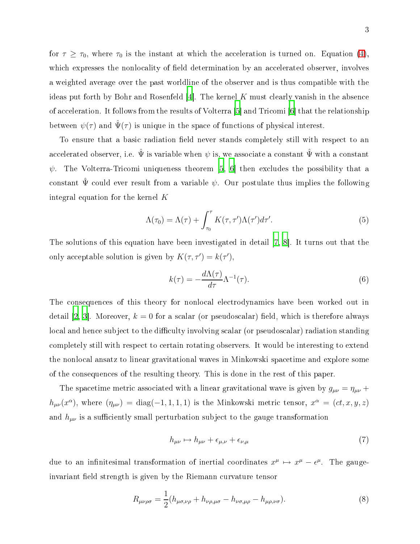for  $\tau \geq \tau_0$ , where  $\tau_0$  is the instant at which the acceleration is turned on. Equation [\(4\)](#page-1-0), which expresses the nonlocality of field determination by an accelerated observer, involves a weighted average over the past worldline of the observer and is thus ompatible with the ideas put forth by Bohr and Rosenfeld  $[4]$  $[4]$ . The kernel K must clearly vanish in the absence of acceleration. It follows from the results of Volterra [5] and Tricomi [6] that the relationship between  $\psi(\tau)$  and  $\hat{\Psi}(\tau)$  is unique in the space of functions of physical interest.

To ensure that a basic radiation field never stands completely still with respect to an accelerated observer, i.e.  $\hat{\Psi}$  is variable when  $\psi$  is, we associate a constant  $\hat{\Psi}$  with a constant  $\psi$ . The Volterra-Tricomi uniqueness theorem [\[5](#page-14-4), [6](#page-14-5)] then excludes the possibility that a constant  $\hat{\Psi}$  could ever result from a variable  $\psi$ . Our postulate thus implies the following integral equation for the kernel K

$$
\Lambda(\tau_0) = \Lambda(\tau) + \int_{\tau_0}^{\tau} K(\tau, \tau') \Lambda(\tau') d\tau'. \tag{5}
$$

The solutions of this equation have been investigated in detail  $[7, 8]$  $[7, 8]$  $[7, 8]$  $[7, 8]$ . It turns out that the only acceptable solution is given by  $K(\tau, \tau') = k(\tau'),$ 

<span id="page-2-0"></span>
$$
k(\tau) = -\frac{d\Lambda(\tau)}{d\tau} \Lambda^{-1}(\tau). \tag{6}
$$

The onsequen
es of this theory for nonlo
al ele
trodynami
s have been worked out in detail [\[2,](#page-14-1) [3](#page-14-2)]. Moreover,  $k = 0$  for a scalar (or pseudoscalar) field, which is therefore always local and hence subject to the difficulty involving scalar (or pseudoscalar) radiation standing ompletely still with respe
t to ertain rotating observers. It would be interesting to extend the nonlo
al ansatz to linear gravitational waves in Minkowski spa
etime and explore some of the onsequen
es of the resulting theory. This is done in the rest of this paper.

The spacetime metric associated with a linear gravitational wave is given by  $g_{\mu\nu} = \eta_{\mu\nu} +$  $h_{\mu\nu}(x^{\alpha})$ , where  $(\eta_{\mu\nu}) = \text{diag}(-1, 1, 1, 1)$  is the Minkowski metric tensor,  $x^{\alpha} = (ct, x, y, z)$ and  $h_{\mu\nu}$  is a sufficiently small perturbation subject to the gauge transformation

$$
h_{\mu\nu} \mapsto h_{\mu\nu} + \epsilon_{\mu,\nu} + \epsilon_{\nu,\mu} \tag{7}
$$

due to an infinitesimal transformation of inertial coordinates  $x^{\mu} \mapsto x^{\mu} - \epsilon^{\mu}$ . The gaugeinvariant field strength is given by the Riemann curvature tensor

$$
R_{\mu\nu\rho\sigma} = \frac{1}{2} (h_{\mu\sigma,\nu\rho} + h_{\nu\rho,\mu\sigma} - h_{\nu\sigma,\mu\rho} - h_{\mu\rho,\nu\sigma}).
$$
\n(8)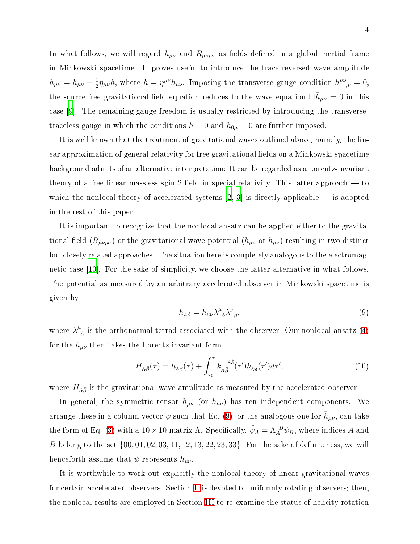In what follows, we will regard  $h_{\mu\nu}$  and  $R_{\mu\nu\rho\sigma}$  as fields defined in a global inertial frame in Minkowski spa
etime. It proves useful to introdu
e the tra
e-reversed wave amplitude  $\bar{h}_{\mu\nu} = h_{\mu\nu} - \frac{1}{2}$  $\frac{1}{2}\eta_{\mu\nu}h$ , where  $h = \eta^{\mu\nu}h_{\mu\nu}$ . Imposing the transverse gauge condition  $\bar{h}^{\mu\nu}{}_{,\nu} = 0$ , the source-free gravitational field equation reduces to the wave equation  $\Box \bar{h}_{\mu\nu} = 0$  in this case  $[9]$  $[9]$ . The remaining gauge freedom is usually restricted by introducing the transversetraceless gauge in which the conditions  $h = 0$  and  $h_{0\mu} = 0$  are further imposed.

It is well known that the treatment of gravitational waves outlined above, namely, the linear approximation of general relativity for free gravitational fields on a Minkowski spacetime ba
kground admits of an alternative interpretation: It an be regarded as a Lorentz-invariant theory of a free linear massless spin-2 field in special relativity. This latter approach  $-$  to which the nonlocal theory of accelerated systems [\[2,](#page-14-1) [3](#page-14-2)] is directly applicable — is adopted in the rest of this paper.

<span id="page-3-0"></span>It is important to recognize that the nonlocal ansatz can be applied either to the gravitational field  $(R_{\mu\nu\rho\sigma})$  or the gravitational wave potential  $(h_{\mu\nu})$  or  $\bar{h}_{\mu\nu}$ ) resulting in two distinct but closely related approaches. The situation here is completely analogous to the electromagnetic case  $|10|$ . For the sake of simplicity, we choose the latter alternative in what follows. The potential as measured by an arbitrary accelerated observer in Minkowski spacetime is given by

<span id="page-3-1"></span>
$$
h_{\hat{\alpha}\hat{\beta}} = h_{\mu\nu} \lambda^{\mu}{}_{\hat{\alpha}} \lambda^{\nu}{}_{\hat{\beta}},\tag{9}
$$

where  $\lambda^{\mu}$  $\hat{\alpha}$  is the orthonormal tetrad associated with the observer. Our nonlocal ansatz  $(4)$ for the  $h_{\mu\nu}$  then takes the Lorentz-invariant form

$$
H_{\hat{\alpha}\hat{\beta}}(\tau) = h_{\hat{\alpha}\hat{\beta}}(\tau) + \int_{\tau_0}^{\tau} k_{\hat{\alpha}\hat{\beta}}^{\hat{\gamma}\hat{\delta}}(\tau')h_{\hat{\gamma}\hat{\delta}}(\tau')d\tau', \qquad (10)
$$

where  $H_{\hat{\alpha}\hat{\beta}}$  is the gravitational wave amplitude as measured by the accelerated observer.

In general, the symmetric tensor  $h_{\mu\nu}$  (or  $\bar{h}_{\mu\nu}$ ) has ten independent components. We arrange these in a column vector  $\psi$  such that Eq. [\(9\)](#page-3-0), or the analogous one for  $\bar{h}_{\mu\nu}$ , can take the form of Eq. [\(3\)](#page-1-1) with a  $10 \times 10$  matrix  $\Lambda$ . Specifically,  $\hat{\psi}_A = \Lambda_A^B \psi_B$ , where indices A and B belong to the set  $\{00, 01, 02, 03, 11, 12, 13, 22, 23, 33\}$ . For the sake of definiteness, we will henceforth assume that  $\psi$  represents  $h_{\mu\nu}$ .

It is worthwhile to work out explicitly the nonlocal theory of linear gravitational waves for certain accelerated observers. Section [II](#page-4-0) is devoted to uniformly rotating observers; then, the nonlocal results are employed in Section [III](#page-6-0) to re-examine the status of helicity-rotation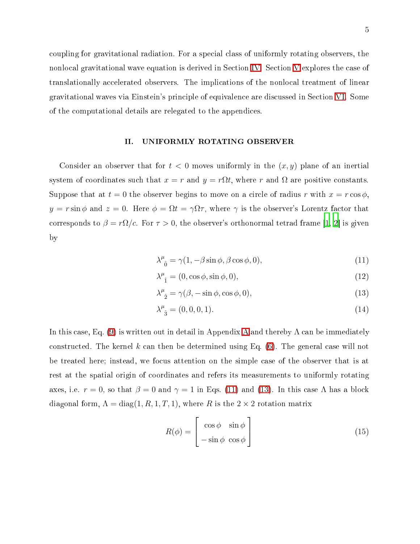coupling for gravitational radiation. For a special class of uniformly rotating observers, the nonlocal gravitational wave equation is derived in Section [IV.](#page-7-0) Section [V](#page-9-0) explores the case of translationally accelerated observers. The implications of the nonlocal treatment of linear gravitational waves via Einstein's principle of equivalence are discussed in Section [VI.](#page-11-0) Some of the omputational details are relegated to the appendi
es.

## <span id="page-4-0"></span>II. UNIFORMLY ROTATING OBSERVER

Consider an observer that for  $t < 0$  moves uniformly in the  $(x, y)$  plane of an inertial system of coordinates such that  $x = r$  and  $y = r\Omega t$ , where r and  $\Omega$  are positive constants. Suppose that at  $t = 0$  the observer begins to move on a circle of radius r with  $x = r \cos \phi$ ,  $y = r \sin \phi$  and  $z = 0$ . Here  $\phi = \Omega t = \gamma \Omega \tau$ , where  $\gamma$  is the observer's Lorentz factor that corresponds to  $\beta = r\Omega/c$ . For  $\tau > 0$ , the observer's orthonormal tetrad frame [\[1,](#page-14-0) 2] is given by

<span id="page-4-3"></span><span id="page-4-2"></span><span id="page-4-1"></span>
$$
\lambda^{\mu}_{\ 0} = \gamma(1, -\beta \sin \phi, \beta \cos \phi, 0), \tag{11}
$$

$$
\lambda_{\ \hat{1}}^{\mu} = (0, \cos \phi, \sin \phi, 0), \tag{12}
$$

<span id="page-4-4"></span>
$$
\lambda^{\mu}_{\ \hat{2}} = \gamma(\beta, -\sin\phi, \cos\phi, 0),\tag{13}
$$

$$
\lambda^{\mu}_{\ \hat{3}} = (0, 0, 0, 1). \tag{14}
$$

In this case, Eq. [\(9\)](#page-3-0) is written out in detail in [A](#page-12-0)ppendix A and thereby  $\Lambda$  can be immediately constructed. The kernel k can then be determined using Eq.  $(6)$ . The general case will not be treated here; instead, we fo
us attention on the simple ase of the observer that is at rest at the spatial origin of oordinates and refers its measurements to uniformly rotating axes, i.e.  $r = 0$ , so that  $\beta = 0$  and  $\gamma = 1$  in Eqs. [\(11\)](#page-4-1) and [\(13\)](#page-4-2). In this case  $\Lambda$  has a block diagonal form,  $\Lambda = \text{diag}(1, R, 1, T, 1)$ , where R is the  $2 \times 2$  rotation matrix

<span id="page-4-5"></span>
$$
R(\phi) = \begin{bmatrix} \cos \phi & \sin \phi \\ -\sin \phi & \cos \phi \end{bmatrix}
$$
 (15)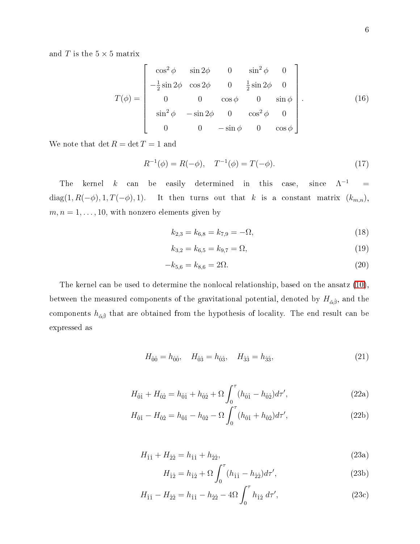and  $T$  is the  $5\times 5$  matrix

<span id="page-5-3"></span>
$$
T(\phi) = \begin{bmatrix} \cos^2 \phi & \sin 2\phi & 0 & \sin^2 \phi & 0 \\ -\frac{1}{2} \sin 2\phi & \cos 2\phi & 0 & \frac{1}{2} \sin 2\phi & 0 \\ 0 & 0 & \cos \phi & 0 & \sin \phi \\ \sin^2 \phi & -\sin 2\phi & 0 & \cos^2 \phi & 0 \\ 0 & 0 & -\sin \phi & 0 & \cos \phi \end{bmatrix} .
$$
 (16)

We note that  $\det R=\det T=1$  and

<span id="page-5-0"></span>
$$
R^{-1}(\phi) = R(-\phi), \quad T^{-1}(\phi) = T(-\phi).
$$
 (17)

The kernel k can be easily determined in this case, since  $\Lambda^{-1}$  $-1$  = diag(1,  $R(-\phi)$ , 1,  $T(-\phi)$ , 1). It then turns out that k is a constant matrix  $(k_{m,n})$ ,  $m, n = 1, \ldots, 10$ , with nonzero elements given by

<span id="page-5-2"></span><span id="page-5-1"></span>
$$
k_{2,3} = k_{6,8} = k_{7,9} = -\Omega,\tag{18}
$$

$$
k_{3,2} = k_{6,5} = k_{9,7} = \Omega,\tag{19}
$$

$$
-k_{5,6} = k_{8,6} = 2\Omega.
$$
\n(20)

<span id="page-5-4"></span>The kernel can be used to determine the nonlocal relationship, based on the ansatz [\(10\)](#page-3-1), between the measured components of the gravitational potential, denoted by  $H_{\hat{\alpha}\hat{\beta}}$ , and the components  $h_{\hat{\alpha}\hat{\beta}}$  that are obtained from the hypothesis of locality. The end result can be expressed as

$$
H_{\hat{0}\hat{0}} = h_{\hat{0}\hat{0}}, \quad H_{\hat{0}\hat{3}} = h_{\hat{0}\hat{3}}, \quad H_{\hat{3}\hat{3}} = h_{\hat{3}\hat{3}}, \tag{21}
$$

$$
H_{\hat{0}\hat{1}} + H_{\hat{0}\hat{2}} = h_{\hat{0}\hat{1}} + h_{\hat{0}\hat{2}} + \Omega \int_0^\tau (h_{\hat{0}\hat{1}} - h_{\hat{0}\hat{2}}) d\tau', \tag{22a}
$$

$$
H_{\hat{0}\hat{1}} - H_{\hat{0}\hat{2}} = h_{\hat{0}\hat{1}} - h_{\hat{0}\hat{2}} - \Omega \int_0^\tau (h_{\hat{0}\hat{1}} + h_{\hat{0}\hat{2}}) d\tau', \tag{22b}
$$

$$
H_{\hat{1}\hat{1}} + H_{\hat{2}\hat{2}} = h_{\hat{1}\hat{1}} + h_{\hat{2}\hat{2}},\tag{23a}
$$

$$
H_{\hat{1}\hat{2}} = h_{\hat{1}\hat{2}} + \Omega \int_0^\tau (h_{\hat{1}\hat{1}} - h_{\hat{2}\hat{2}}) d\tau', \tag{23b}
$$

$$
H_{\hat{1}\hat{1}} - H_{\hat{2}\hat{2}} = h_{\hat{1}\hat{1}} - h_{\hat{2}\hat{2}} - 4\Omega \int_0^\tau h_{\hat{1}\hat{2}} \, d\tau',\tag{23c}
$$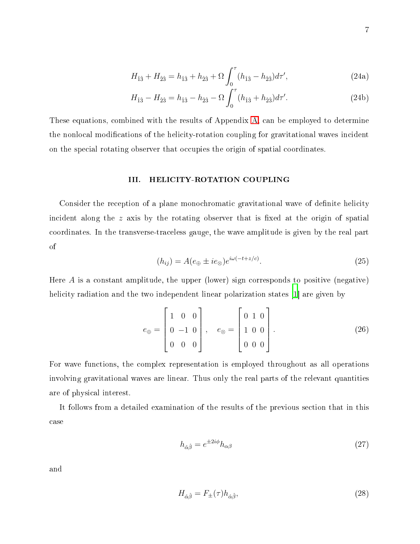<span id="page-6-2"></span>
$$
H_{\hat{1}\hat{3}} + H_{\hat{2}\hat{3}} = h_{\hat{1}\hat{3}} + h_{\hat{2}\hat{3}} + \Omega \int_0^\tau (h_{\hat{1}\hat{3}} - h_{\hat{2}\hat{3}}) d\tau', \tag{24a}
$$

$$
H_{\hat{1}\hat{3}} - H_{\hat{2}\hat{3}} = h_{\hat{1}\hat{3}} - h_{\hat{2}\hat{3}} - \Omega \int_0^\tau (h_{\hat{1}\hat{3}} + h_{\hat{2}\hat{3}}) d\tau'. \tag{24b}
$$

<span id="page-6-0"></span>These equations, ombined with the results of Appendix [A,](#page-12-0) an be employed to determine the nonlocal modifications of the helicity-rotation coupling for gravitational waves incident on the special rotating observer that occupies the origin of spatial coordinates.

#### III. HELICITY-ROTATION COUPLING

<span id="page-6-3"></span>Consider the reception of a plane monochromatic gravitational wave of definite helicity incident along the  $z$  axis by the rotating observer that is fixed at the origin of spatial oordinates. In the transverse-tra
eless gauge, the wave amplitude is given by the real part of

$$
(h_{ij}) = A(e_{\oplus} \pm i e_{\otimes}) e^{i\omega(-t+z/c)}.
$$
\n
$$
(25)
$$

Here  $A$  is a constant amplitude, the upper (lower) sign corresponds to positive (negative) helicity radiation and the two independent linear polarization states [1] are given by

$$
e_{\oplus} = \begin{bmatrix} 1 & 0 & 0 \\ 0 & -1 & 0 \\ 0 & 0 & 0 \end{bmatrix}, \quad e_{\otimes} = \begin{bmatrix} 0 & 1 & 0 \\ 1 & 0 & 0 \\ 0 & 0 & 0 \end{bmatrix}.
$$
 (26)

For wave fun
tions, the omplex representation is employed throughout as all operations involving gravitational waves are linear. Thus only the real parts of the relevant quantities are of physi
al interest.

It follows from a detailed examination of the results of the previous se
tion that in this ase

<span id="page-6-1"></span>
$$
h_{\hat{\alpha}\hat{\beta}} = e^{\pm 2i\phi} h_{\alpha\beta} \tag{27}
$$

and

$$
H_{\hat{\alpha}\hat{\beta}} = F_{\pm}(\tau)h_{\hat{\alpha}\hat{\beta}},\tag{28}
$$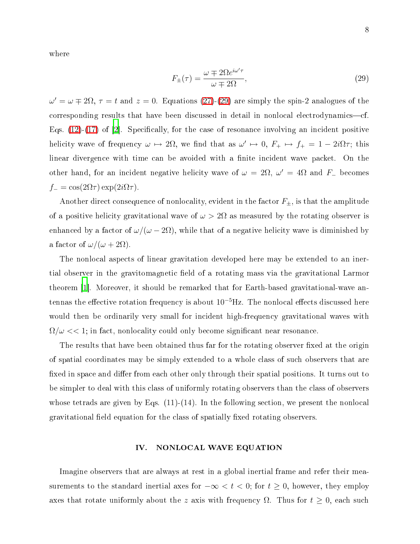where

<span id="page-7-1"></span>
$$
F_{\pm}(\tau) = \frac{\omega \mp 2\Omega e^{i\omega'\tau}}{\omega \mp 2\Omega},\tag{29}
$$

 $\omega' = \omega \mp 2\Omega$ ,  $\tau = t$  and  $z = 0$ . Equations [\(27\)](#page-6-1)-[\(29\)](#page-7-1) are simply the spin-2 analogues of the corresponding results that have been discussed in detail in nonlocal electrodynamics-cf. Eqs.  $(12)-(17)$  $(12)-(17)$  $(12)-(17)$  of [\[2](#page-14-1)]. Specifically, for the case of resonance involving an incident positive helicity wave of frequency  $\omega \mapsto 2\Omega$ , we find that as  $\omega' \mapsto 0$ ,  $F_+ \mapsto f_+ = 1 - 2i\Omega\tau$ ; this linear divergence with time can be avoided with a finite incident wave packet. On the other hand, for an incident negative helicity wave of  $\omega = 2\Omega$ ,  $\omega' = 4\Omega$  and  $F_-\$  becomes  $f_{-} = \cos(2\Omega \tau) \exp(2i\Omega \tau).$ 

Another direct consequence of nonlocality, evident in the factor  $F_{\pm}$ , is that the amplitude of a positive helicity gravitational wave of  $\omega > 2\Omega$  as measured by the rotating observer is enhanced by a factor of  $\omega/(\omega - 2\Omega)$ , while that of a negative helicity wave is diminished by a factor of  $\omega/(\omega+2\Omega)$ .

The nonlocal aspects of linear gravitation developed here may be extended to an inertial observer in the gravitomagnetic field of a rotating mass via the gravitational Larmor theorem  $|1|$ . Moreover, it should be remarked that for Earth-based gravitational-wave antennas the effective rotation frequency is about  $10^{-5}$ Hz. The nonlocal effects discussed here would then be ordinarily very small for incident high-frequency gravitational waves with  $\Omega/\omega << 1$ ; in fact, nonlocality could only become significant near resonance.

The results that have been obtained thus far for the rotating observer fixed at the origin of spatial oordinates may be simply extended to a whole lass of su
h observers that are fixed in space and differ from each other only through their spatial positions. It turns out to be simpler to deal with this class of uniformly rotating observers than the class of observers whose tetrads are given by Eqs.  $(11)-(14)$ . In the following section, we present the nonlocal gravitational field equation for the class of spatially fixed rotating observers.

## <span id="page-7-0"></span>IV. NONLOCAL WAVE EQUATION

Imagine observers that are always at rest in a global inertial frame and refer their measurements to the standard inertial axes for  $-\infty < t < 0$ ; for  $t \ge 0$ , however, they employ axes that rotate uniformly about the z axis with frequency  $\Omega$ . Thus for  $t \geq 0$ , each such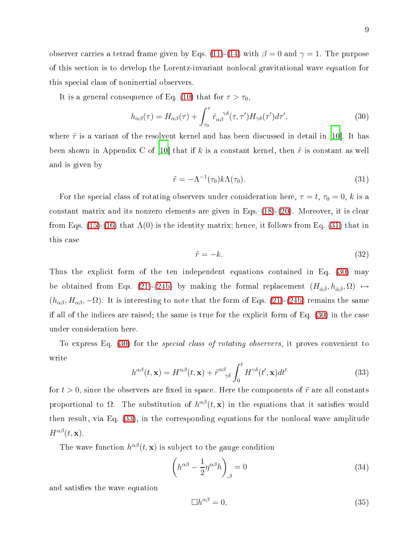observer carries a tetrad frame given by Eqs. [\(11\)](#page-4-1)-[\(14\)](#page-4-4) with  $\beta = 0$  and  $\gamma = 1$ . The purpose of this se
tion is to develop the Lorentz-invariant nonlo
al gravitational wave equation for this spe
ial lass of noninertial observers.

It is a general consequence of Eq. [\(10\)](#page-3-1) that for  $\tau > \tau_0$ ,

<span id="page-8-1"></span>
$$
h_{\alpha\beta}(\tau) = H_{\alpha\beta}(\tau) + \int_{\tau_0}^{\tau} \tilde{r}_{\alpha\beta}^{\ \gamma\delta}(\tau,\tau')H_{\gamma\delta}(\tau')d\tau',\tag{30}
$$

<span id="page-8-0"></span>where  $\tilde{r}$  is a variant of the resolvent kernel and has been discussed in detail in [10]. It has been shown in Appendix C of [10] that if k is a constant kernel, then  $\tilde{r}$  is constant as well and is given by

$$
\tilde{r} = -\Lambda^{-1}(\tau_0)k\Lambda(\tau_0). \tag{31}
$$

For the special class of rotating observers under consideration here,  $\tau = t$ ,  $\tau_0 = 0$ , k is a constant matrix and its nonzero elements are given in Eqs. [\(18\)](#page-5-1)-[\(20\)](#page-5-2). Moreover, it is clear from Eqs. [\(15\)](#page-4-5)-[\(16\)](#page-5-3) that  $\Lambda(0)$  is the identity matrix; hence, it follows from Eq. [\(31\)](#page-8-0) that in this ase

$$
\tilde{r} = -k.\tag{32}
$$

Thus the explicit form of the ten independent equations contained in Eq. [\(30\)](#page-8-1) may be obtained from Eqs. [\(21\)](#page-5-4)-[\(24b\)](#page-6-2) by making the formal replacement  $(H_{\hat{\alpha}\hat{\beta}}, h_{\hat{\alpha}\hat{\beta}}, \Omega) \mapsto$  $(h_{\alpha\beta}, H_{\alpha\beta}, -\Omega)$ . It is interesting to note that the form of Eqs. [\(21\)](#page-5-4)-[\(24b\)](#page-6-2) remains the same if all of the indices are raised; the same is true for the explicit form of Eq. [\(30\)](#page-8-1) in the case under onsideration here.

<span id="page-8-2"></span>To express Eq. [\(30\)](#page-8-1) for the *special class of rotating observers*, it proves convenient to write

$$
h^{\alpha\beta}(t, \mathbf{x}) = H^{\alpha\beta}(t, \mathbf{x}) + \tilde{r}^{\alpha\beta}_{\gamma\delta} \int_0^t H^{\gamma\delta}(t', \mathbf{x}) dt'
$$
\n(33)

for  $t > 0$ , since the observers are fixed in space. Here the components of  $\tilde{r}$  are all constants proportional to  $\Omega$ . The substitution of  $h^{\alpha\beta}(t, \mathbf{x})$  in the equations that it satisfies would then result, via Eq. [\(33\)](#page-8-2), in the corresponding equations for the nonlocal wave amplitude  $H^{\alpha\beta}(t, \mathbf{x}).$ 

The wave function  $h^{\alpha\beta}(t, \mathbf{x})$  is subject to the gauge condition

$$
\left(h^{\alpha\beta} - \frac{1}{2}\eta^{\alpha\beta}h\right)_{,\beta} = 0\tag{34}
$$

and satisfies the wave equation

$$
\Box h^{\alpha\beta} = 0,\tag{35}
$$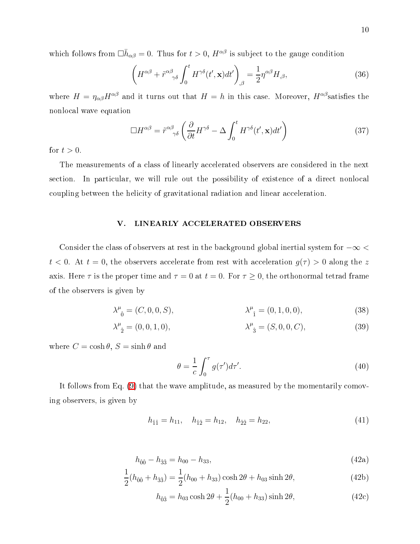which follows from  $\Box \bar{h}_{\alpha\beta} = 0$ . Thus for  $t > 0$ ,  $H^{\alpha\beta}$  is subject to the gauge condition

$$
\left(H^{\alpha\beta} + \tilde{r}^{\alpha\beta}{}_{\gamma\delta} \int_0^t H^{\gamma\delta}(t', \mathbf{x}) dt'\right)_{,\beta} = \frac{1}{2} \eta^{\alpha\beta} H_{,\beta},\tag{36}
$$

where  $H = \eta_{\alpha\beta}H^{\alpha\beta}$  and it turns out that  $H = h$  in this case. Moreover,  $H^{\alpha\beta}$  satisfies the nonlo
al wave equation

$$
\Box H^{\alpha\beta} = \tilde{r}^{\alpha\beta}_{\gamma\delta} \left( \frac{\partial}{\partial t} H^{\gamma\delta} - \Delta \int_0^t H^{\gamma\delta}(t', \mathbf{x}) dt' \right) \tag{37}
$$

for  $t > 0$ .

<span id="page-9-0"></span>The measurements of a class of linearly accelerated observers are considered in the next section. In particular, we will rule out the possibility of existence of a direct nonlocal coupling between the helicity of gravitational radiation and linear acceleration.

## V. LINEARLY ACCELERATED OBSERVERS

Consider the class of observers at rest in the background global inertial system for  $-\infty$  <  $t < 0$ . At  $t = 0$ , the observers accelerate from rest with acceleration  $g(\tau) > 0$  along the z axis. Here  $\tau$  is the proper time and  $\tau = 0$  at  $t = 0$ . For  $\tau \ge 0$ , the orthonormal tetrad frame of the observers is given by

$$
\lambda^{\mu}_{\ 0} = (C, 0, 0, S), \qquad \lambda^{\mu}_{\ 1} = (0, 1, 0, 0), \qquad (38)
$$

$$
\lambda^{\mu}_{\ \hat{2}} = (0, 0, 1, 0), \qquad \lambda^{\mu}_{\ \hat{3}} = (S, 0, 0, C), \qquad (39)
$$

where  $C = \cosh \theta$ ,  $S = \sinh \theta$  and

$$
\theta = \frac{1}{c} \int_0^{\tau} g(\tau') d\tau'. \tag{40}
$$

<span id="page-9-1"></span>It follows from Eq.  $(9)$  that the wave amplitude, as measured by the momentarily comoving observers, is given by

$$
h_{\hat{1}\hat{1}} = h_{11}, \quad h_{\hat{1}\hat{2}} = h_{12}, \quad h_{\hat{2}\hat{2}} = h_{22}, \tag{41}
$$

$$
h_{\hat{0}\hat{0}} - h_{\hat{3}\hat{3}} = h_{00} - h_{33},\tag{42a}
$$

$$
\frac{1}{2}(h_{\hat{0}\hat{0}} + h_{\hat{3}\hat{3}}) = \frac{1}{2}(h_{00} + h_{33})\cosh 2\theta + h_{03}\sinh 2\theta, \tag{42b}
$$

$$
h_{\hat{0}\hat{3}} = h_{03} \cosh 2\theta + \frac{1}{2}(h_{00} + h_{33}) \sinh 2\theta, \tag{42c}
$$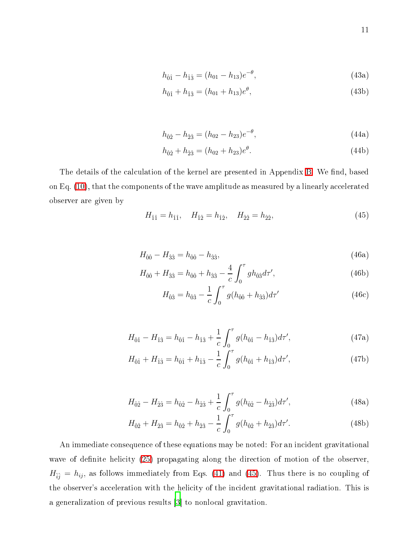$$
h_{\hat{0}\hat{1}} - h_{\hat{1}\hat{3}} = (h_{01} - h_{13})e^{-\theta},\tag{43a}
$$

$$
h_{\hat{0}\hat{1}} + h_{\hat{1}\hat{3}} = (h_{01} + h_{13})e^{\theta},\tag{43b}
$$

$$
h_{\hat{0}\hat{2}} - h_{\hat{2}\hat{3}} = (h_{02} - h_{23})e^{-\theta},\tag{44a}
$$

$$
h_{\hat{0}\hat{2}} + h_{\hat{2}\hat{3}} = (h_{02} + h_{23})e^{\theta}.
$$
\n(44b)

<span id="page-10-0"></span>The details of the calculation of the kernel are presented in Appendix [B.](#page-13-0) We find, based on Eq. [\(10\)](#page-3-1), that the components of the wave amplitude as measured by a linearly accelerated observer are given by

$$
H_{\hat{1}\hat{1}} = h_{\hat{1}\hat{1}}, \quad H_{\hat{1}\hat{2}} = h_{\hat{1}\hat{2}}, \quad H_{\hat{2}\hat{2}} = h_{\hat{2}\hat{2}}, \tag{45}
$$

$$
H_{\hat{0}\hat{0}} - H_{\hat{3}\hat{3}} = h_{\hat{0}\hat{0}} - h_{\hat{3}\hat{3}},\tag{46a}
$$

$$
H_{\hat{0}\hat{0}} + H_{\hat{3}\hat{3}} = h_{\hat{0}\hat{0}} + h_{\hat{3}\hat{3}} - \frac{4}{c} \int_0^\tau gh_{\hat{0}\hat{3}} d\tau',\tag{46b}
$$

$$
H_{\hat{0}\hat{3}} = h_{\hat{0}\hat{3}} - \frac{1}{c} \int_0^\tau g(h_{\hat{0}\hat{0}} + h_{\hat{3}\hat{3}})d\tau'
$$
 (46c)

$$
H_{\hat{0}\hat{1}} - H_{\hat{1}\hat{3}} = h_{\hat{0}\hat{1}} - h_{\hat{1}\hat{3}} + \frac{1}{c} \int_0^\tau g(h_{\hat{0}\hat{1}} - h_{\hat{1}\hat{3}}) d\tau', \tag{47a}
$$

$$
H_{\hat{0}\hat{1}} + H_{\hat{1}\hat{3}} = h_{\hat{0}\hat{1}} + h_{\hat{1}\hat{3}} - \frac{1}{c} \int_0^\tau g(h_{\hat{0}\hat{1}} + h_{\hat{1}\hat{3}}) d\tau', \tag{47b}
$$

$$
H_{\hat{0}\hat{2}} - H_{\hat{2}\hat{3}} = h_{\hat{0}\hat{2}} - h_{\hat{2}\hat{3}} + \frac{1}{c} \int_0^\tau g(h_{\hat{0}\hat{2}} - h_{\hat{2}\hat{3}}) d\tau', \tag{48a}
$$

$$
H_{\hat{0}\hat{2}} + H_{\hat{2}\hat{3}} = h_{\hat{0}\hat{2}} + h_{\hat{2}\hat{3}} - \frac{1}{c} \int_0^\tau g(h_{\hat{0}\hat{2}} + h_{\hat{2}\hat{3}}) d\tau'. \tag{48b}
$$

An immediate consequence of these equations may be noted: For an incident gravitational wave of definite helicity [\(25\)](#page-6-3) propagating along the direction of motion of the observer,  $H_{\hat{i}\hat{j}} = h_{ij}$ , as follows immediately from Eqs. [\(41\)](#page-9-1) and [\(45\)](#page-10-0). Thus there is no coupling of the observer's acceleration with the helicity of the incident gravitational radiation. This is a generalization of previous results  $[3]$  to nonlocal gravitation.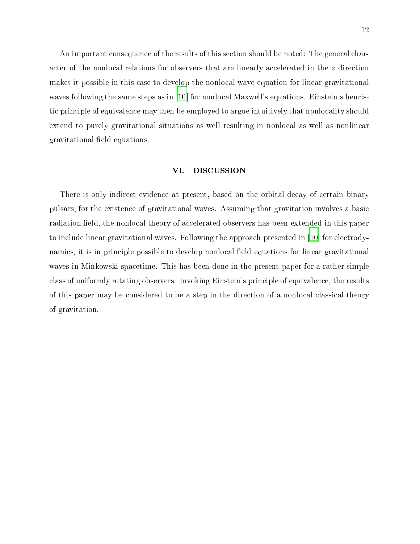An important consequence of the results of this section should be noted: The general character of the nonlocal relations for observers that are linearly accelerated in the z direction makes it possible in this case to develop the nonlocal wave equation for linear gravitational waves following the same steps as in  $[10]$  $[10]$  for nonlocal Maxwell's equations. Einstein's heuristic principle of equivalence may then be employed to argue intuitively that nonlocality should extend to purely gravitational situations as well resulting in nonlo
al as well as nonlinear gravitational field equations.

#### <span id="page-11-0"></span>VI. DISCUSSION

There is only indirect evidence at present, based on the orbital decay of certain binary pulsars, for the existen
e of gravitational waves. Assuming that gravitation involves a basi radiation field, the nonlocal theory of accelerated observers has been extended in this paper to include linear gravitational waves. Following the approach presented in [10] for electrodynamics, it is in principle possible to develop nonlocal field equations for linear gravitational waves in Minkowski spa
etime. This has been done in the present paper for a rather simple class of uniformly rotating observers. Invoking Einstein's principle of equivalence, the results of this paper may be considered to be a step in the direction of a nonlocal classical theory of gravitation.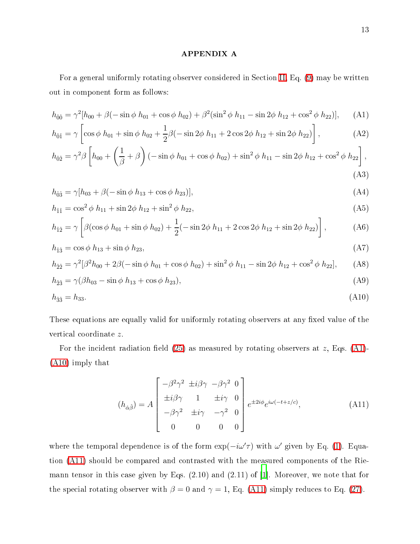## <span id="page-12-1"></span><span id="page-12-0"></span>APPENDIX A

For a general uniformly rotating observer considered in Section [II,](#page-4-0) Eq. [\(9\)](#page-3-0) may be written out in omponent form as follows:

$$
h_{\hat{0}\hat{0}} = \gamma^2 [h_{00} + \beta(-\sin\phi h_{01} + \cos\phi h_{02}) + \beta^2(\sin^2\phi h_{11} - \sin 2\phi h_{12} + \cos^2\phi h_{22})], \quad (A1)
$$

$$
h_{\hat{0}\hat{1}} = \gamma \left[ \cos \phi \ h_{01} + \sin \phi \ h_{02} + \frac{1}{2} \beta (-\sin 2\phi \ h_{11} + 2\cos 2\phi \ h_{12} + \sin 2\phi \ h_{22}) \right],\tag{A2}
$$

$$
h_{\hat{0}\hat{2}} = \gamma^2 \beta \left[ h_{00} + \left( \frac{1}{\beta} + \beta \right) \left( -\sin \phi \ h_{01} + \cos \phi \ h_{02} \right) + \sin^2 \phi \ h_{11} - \sin 2\phi \ h_{12} + \cos^2 \phi \ h_{22} \right],
$$
\n(A3)

$$
h_{\hat{0}\hat{3}} = \gamma[h_{03} + \beta(-\sin\phi \ h_{13} + \cos\phi \ h_{23})],
$$
\n(A4)

$$
h_{\hat{1}\hat{1}} = \cos^2 \phi \ h_{11} + \sin 2\phi \ h_{12} + \sin^2 \phi \ h_{22}, \tag{A5}
$$

$$
h_{\hat{1}\hat{2}} = \gamma \left[ \beta (\cos \phi \ h_{01} + \sin \phi \ h_{02}) + \frac{1}{2} (-\sin 2\phi \ h_{11} + 2\cos 2\phi \ h_{12} + \sin 2\phi \ h_{22}) \right],\tag{A6}
$$

$$
h_{\hat{1}\hat{3}} = \cos\phi \ h_{13} + \sin\phi \ h_{23},\tag{A7}
$$

$$
h_{\hat{2}\hat{2}} = \gamma^2 [\beta^2 h_{00} + 2\beta(-\sin\phi h_{01} + \cos\phi h_{02}) + \sin^2\phi h_{11} - \sin 2\phi h_{12} + \cos^2\phi h_{22}], \quad (A8)
$$

$$
h_{\hat{2}\hat{3}} = \gamma(\beta h_{03} - \sin \phi h_{13} + \cos \phi h_{23}),\tag{A9}
$$

$$
h_{33} = h_{33}.\tag{A10}
$$

These equations are equally valid for uniformly rotating observers at any fixed value of the verti
al oordinate z.

<span id="page-12-3"></span>For the incident radiation field  $(25)$  as measured by rotating observers at z, Eqs.  $(A1)$ -[\(A10\)](#page-12-2) imply that

<span id="page-12-2"></span>
$$
(h_{\hat{\alpha}\hat{\beta}}) = A \begin{bmatrix} -\beta^2 \gamma^2 \pm i\beta\gamma & -\beta\gamma^2 & 0\\ \pm i\beta\gamma & 1 & \pm i\gamma & 0\\ -\beta\gamma^2 & \pm i\gamma & -\gamma^2 & 0\\ 0 & 0 & 0 & 0 \end{bmatrix} e^{\pm 2i\phi} e^{i\omega(-t+z/c)}, \tag{A11}
$$

where the temporal dependence is of the form  $\exp(-i\omega' \tau)$  with  $\omega'$  given by Eq. [\(1\)](#page-0-0). Equation [\(A11\)](#page-12-3) should be ompared and ontrasted with the measured omponents of the Riemann tensor in this case given by Eqs.  $(2.10)$  and  $(2.11)$  of [\[1](#page-14-0)]. Moreover, we note that for the special rotating observer with  $\beta = 0$  and  $\gamma = 1$ , Eq. [\(A11\)](#page-12-3) simply reduces to Eq. [\(27\)](#page-6-1).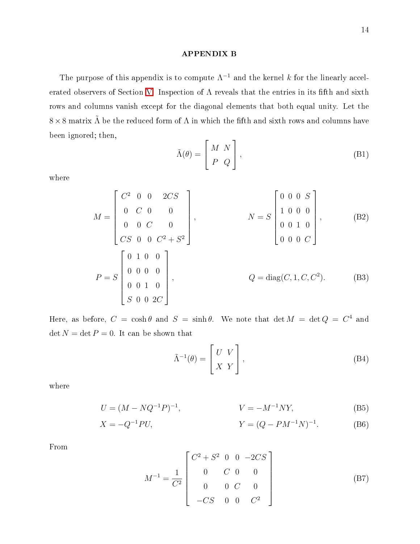## <span id="page-13-0"></span>APPENDIX B

The purpose of this appendix is to compute  $\Lambda^{-1}$  and the kernel k for the linearly accel-erated observers of Section [V.](#page-9-0) Inspection of  $\Lambda$  reveals that the entries in its fifth and sixth rows and columns vanish except for the diagonal elements that both equal unity. Let the  $8 \times 8$  matrix  $\Lambda$  be the reduced form of  $\Lambda$  in which the fifth and sixth rows and columns have been ignored; then,

$$
\tilde{\Lambda}(\theta) = \begin{bmatrix} M & N \\ P & Q \end{bmatrix},
$$
\n(B1)

where

$$
M = \begin{bmatrix} C^2 & 0 & 0 & 2CS \\ 0 & C & 0 & 0 \\ 0 & 0 & C & 0 \\ CS & 0 & 0 & C^2 + S^2 \end{bmatrix}, \qquad N = S \begin{bmatrix} 0 & 0 & 0 & S \\ 1 & 0 & 0 & 0 \\ 0 & 0 & 1 & 0 \\ 0 & 0 & 0 & C \end{bmatrix}, \qquad (B2)
$$

$$
P = S \begin{bmatrix} 0 & 1 & 0 & 0 \\ 0 & 0 & 0 & 0 \\ 0 & 0 & 1 & 0 \\ S & 0 & 0 & 2C \end{bmatrix}, \qquad Q = \text{diag}(C, 1, C, C^2). \qquad (B3)
$$

Here, as before,  $C = \cosh \theta$  and  $S = \sinh \theta$ . We note that  $\det M = \det Q = C^4$  and  $\det N = \det P = 0$ . It can be shown that

<span id="page-13-2"></span><span id="page-13-1"></span>
$$
\tilde{\Lambda}^{-1}(\theta) = \begin{bmatrix} U & V \\ X & Y \end{bmatrix},
$$
\n(B4)

where

$$
U = (M - NQ^{-1}P)^{-1}, \qquad \qquad V = -M^{-1}NY,\tag{B5}
$$

$$
X = -Q^{-1}PU,
$$
 (B6)

From

$$
M^{-1} = \frac{1}{C^2} \begin{bmatrix} C^2 + S^2 & 0 & 0 & -2CS \\ 0 & C & 0 & 0 \\ 0 & 0 & C & 0 \\ -CS & 0 & 0 & C^2 \end{bmatrix}
$$
 (B7)